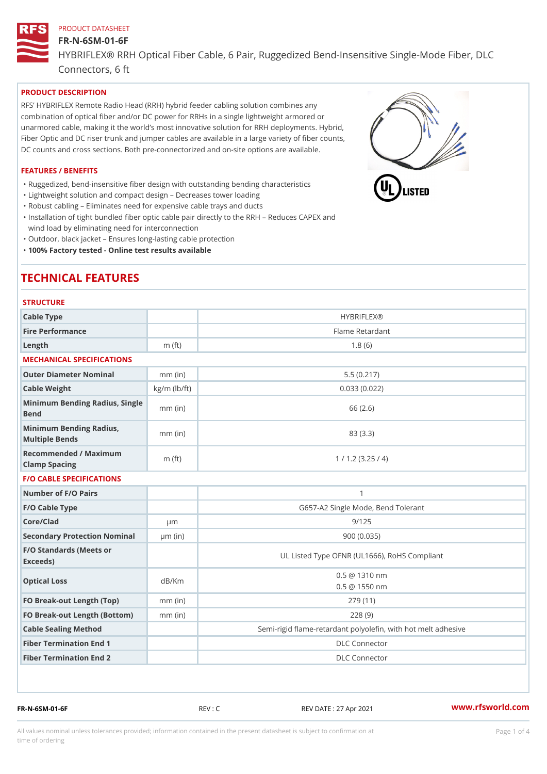## FR-N-6SM-01-6F HYBRIFLEX® RRH Optical Fiber Cable, 6 Pair, Ruggedized Bend-Insens Connectors, 6 ft

## PRODUCT DESCRIPTION

RFS HYBRIFLEX Remote Radio Head (RRH) hybrid feeder cabling solution combines any combination of optical fiber and/or DC power for RRHs in a single lightweight armored or unarmored cable, making it the world s most innovative solution for RRH deployments. Hybrid, Fiber Optic and DC riser trunk and jumper cables are available in a large variety of fiber counts, DC counts and cross sections. Both pre-connectorized and on-site options are available.

## FEATURES / BENEFITS

"Ruggedized, bend-insensitive fiber design with outstanding bending characteristics

- "Lightweight solution and compact design Decreases tower loading
- "Robust cabling Eliminates need for expensive cable trays and ducts
- "Installation of tight bundled fiber optic cable pair directly to the RRH Aeduces CAPEX and wind load by eliminating need for interconnection
- "Outdoor, black jacket Ensures long-lasting cable protection
- "100% Factory tested Online test results available

# TECHNICAL FEATURES

#### **STRUCTURE**

| Cable Type                                        |                    | <b>HYBRIFLEX®</b>                                        |  |
|---------------------------------------------------|--------------------|----------------------------------------------------------|--|
| Fire Performance                                  |                    | Flame Retardant                                          |  |
| $L$ ength                                         | $m$ (ft)           | 1.8(6)                                                   |  |
| MECHANICAL SPECIFICATIONS                         |                    |                                                          |  |
| Outer Diameter Nominal                            | $mm$ (in)          | 5.5(0.217)                                               |  |
| Cable Weight                                      | $kg/m$ ( $lb/ft$ ) | 0.033(0.022)                                             |  |
| Minimum Bending Radius, Single<br>Bend            | mm "(in            | 66 (2.6)                                                 |  |
| Minimum Bending Radius, mm (in)<br>Multiple Bends |                    | 83 (3.3)                                                 |  |
| Recommended / Maximum<br>Clamp Spacing            | m $(ft)$           | 1 / 1.2 (3.25 / 4)                                       |  |
| <b>F/O CABLE SPECIFICATIONS</b>                   |                    |                                                          |  |
| Number of F/O Pairs                               |                    | $\mathbf{1}$                                             |  |
| F/O Cable Type                                    |                    | G657-A2 Single Mode, Bend Tolerant                       |  |
| Core/Clad                                         | $\mu$ m            | 9/125                                                    |  |
| Secondary Protection Nomimal(in)                  |                    | 900(0.035)                                               |  |
| F/O Standards (Meets or<br>Exceeds)               |                    | UL Listed Type OFNR (UL1666), RoHS Compliant             |  |
| Optical Loss                                      | dB/Km              | $0.5 \t@ 1310 nm$<br>$0.5 \t@ 1550 nm$                   |  |
| FO Break-out Length (Top)mm (in)                  |                    | 279 (11)                                                 |  |
| FO Break-out Length (Bottmomm) (in)               |                    | 228(9)                                                   |  |
| Cable Sealing Method                              |                    | Semi-rigid flame-retardant polyolefin, with hot melt adl |  |
| Fiber Termination End                             |                    | <b>DLC</b> Connector                                     |  |
| Fiber Termination End 2                           |                    | <b>DLC</b> Connector                                     |  |

FR-N-6SM-01-6F REV : C REV DATE : 27 Apr 2021 [www.](https://www.rfsworld.com)rfsworld.com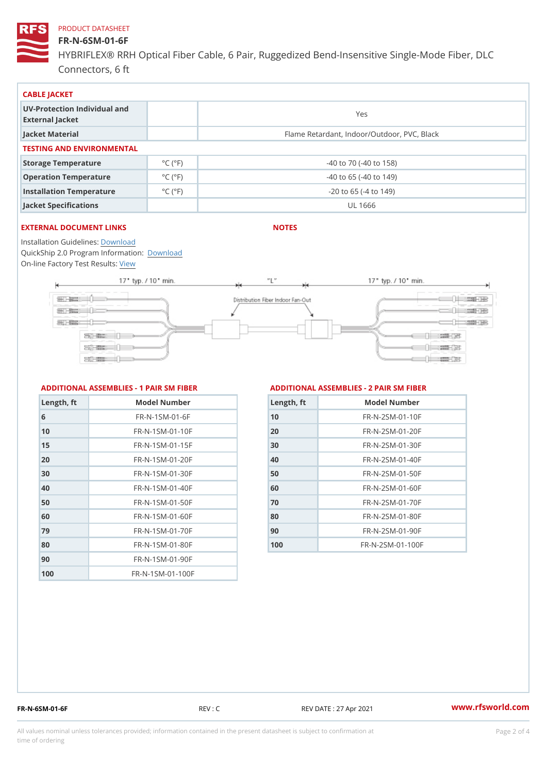#### FR-N-6SM-01-6F

HYBRIFLEX® RRH Optical Fiber Cable, 6 Pair, Ruggedized Bend-Insens Connectors, 6 ft

| CABLE JACKET                                    |                             |                                             |  |  |
|-------------------------------------------------|-----------------------------|---------------------------------------------|--|--|
| UV-Protection Individual and<br>External Jacket |                             | Yes                                         |  |  |
| Jacket Material                                 |                             | Flame Retardant, Indoor/Outdoor, PVC, Black |  |  |
| TESTING AND ENVIRONMENTAL                       |                             |                                             |  |  |
| Storage Temperature                             | $^{\circ}$ C ( $^{\circ}$ F | $-40$ to $70$ ( $-40$ to $158$ )            |  |  |
| Operation Temperature                           | $^{\circ}$ C ( $^{\circ}$ F | $-40$ to 65 ( $-40$ to 149)                 |  |  |
| Installation Temperature                        | $^{\circ}$ C ( $^{\circ}$ F | $-20$ to 65 ( $-4$ to 149)                  |  |  |
| Jacket Specifications                           |                             | UL 1666                                     |  |  |

### EXTERNAL DOCUMENT LINKS

NOTES

Installation Guidelwinessad QuickShip 2.0 Program [Informa](http://www.rfsworld.com/images/hybriflex/quickship_program_2.pdf)tion: On-line Factory Te[s](https://www.rfsworld.com/pictures/userfiles/programs/AAST Latest Version.zip)teResults:

#### ADDITIONAL ASSEMBLIES - 1 PAIR SM FIBERED DITIONAL ASSEMBLIES - 2 PAIR SM FIBER

| Length, ft | Model Number                  |
|------------|-------------------------------|
| 6          | $FR - N - 1 S M - 01 - 6 F$   |
| 10         | $FR - N - 1$ S M - 01 - 10 F  |
| 15         | $FR - N - 1$ S M - 01 - 15 F  |
| 20         | $FR - N - 1$ S M - 01 - 20 F  |
| 30         | $FR - N - 1$ S M - 01 - 30 F  |
| 40         | FR-N-1SM-01-40F               |
| 50         | $FR - N - 1$ S M - 01 - 50 F  |
| 60         | $FR - N - 1$ S M - 01 - 60 F  |
| 79         | $FR - N - 1 S M - 01 - 70 F$  |
| 80         | $FR - N - 1$ S M - 01 - 80 F  |
| 90         | $FR - N - 1$ S M - 01 - 90 F  |
| 100        | $FR - N - 1$ S M - 01 - 100 F |

| Length, ft | Model Number                 |
|------------|------------------------------|
| 10         | FR-N-2SM-01-10F              |
| 20         | FR-N-2SM-01-20F              |
| 30         | $FR - N - 2 SM - 01 - 30 F$  |
| 4 O        | $FR - N - 2 SM - 01 - 40 F$  |
| 50         | $FR - N - 2 SM - 01 - 50 F$  |
| 60         | $FR - N - 2 SM - 01 - 60 F$  |
| 7 0        | $FR - N - 2 S M - 01 - 70 F$ |
| 80         | $FR - N - 2 S M - 01 - 80 F$ |
| 90         | $FR - N - 2 SM - 01 - 90 F$  |
| 100        | FR-N-2SM-01-100F             |

FR-N-6SM-01-6F REV : C REV DATE : 27 Apr 2021 [www.](https://www.rfsworld.com)rfsworld.com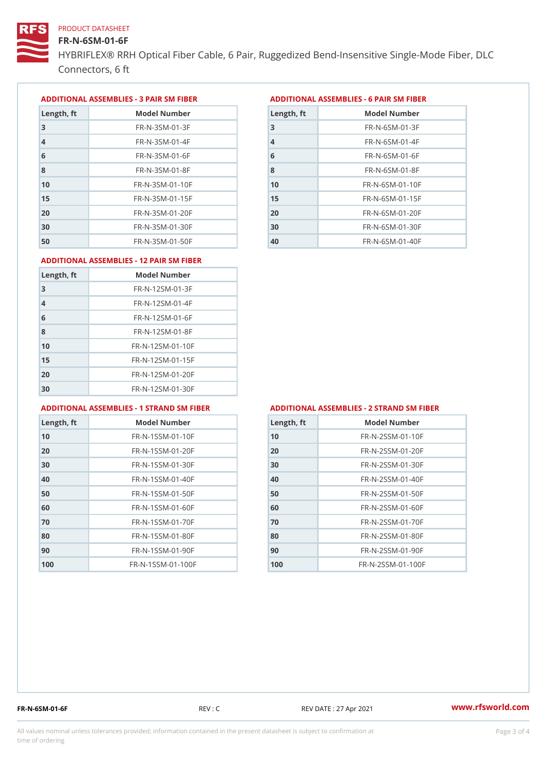#### FR-N-6SM-01-6F

HYBRIFLEX® RRH Optical Fiber Cable, 6 Pair, Ruggedized Bend-Insens Connectors, 6 ft

ADDITIONAL ASSEMBLIES - 3 PAIR SM FIBERED DITIONAL ASSEMBLIES - 6 PAIR SM FIBER

| Length, ft     | Model Number                 |
|----------------|------------------------------|
| 3              | $FR - N - 3 S M - 01 - 3 F$  |
| $\overline{4}$ | $FR - N - 3 S M - 01 - 4 F$  |
| 6              | $FR - N - 3 S M - 01 - 6 F$  |
| 8              | FR-N-3SM-01-8F               |
| 10             | $FR - N - 3 S M - 01 - 10 F$ |
| 15             | $FR - N - 3 S M - 01 - 15 F$ |
| 20             | $FR - N - 3 S M - 01 - 20 F$ |
| 30             | $FR - N - 3 S M - 01 - 30 F$ |
| 50             | $FR - N - 3 S M - 01 - 50 F$ |

| Model Number<br>Length, ft   |
|------------------------------|
| $FR - N - 6 S M - 01 - 3 F$  |
| $FR - N - 6$ S M - 01 - 4 F  |
| $FR - N - 6 S M - 01 - 6 F$  |
| $FR - N - 6$ S M - 01 - 8 F  |
| $FR - N - 6 SM - 01 - 10 F$  |
| $FR - N - 6$ S M - 01 - 15 F |
| $FR - N - 6 S M - 01 - 20 F$ |
| $FR - N - 6 SM - 01 - 30 F$  |
| $FR - N - 6 S M - 01 - 40 F$ |
|                              |

#### ADDITIONAL ASSEMBLIES - 12 PAIR SM FIBER

| Length, ft     | Model Number                 |
|----------------|------------------------------|
| 3              | $FR - N - 12SM - 01 - 3F$    |
| $\overline{4}$ | $FR - N - 12SM - 01 - 4F$    |
| 6              | $FR - N - 12$ S M - 01 - 6 F |
| 8              | $FR - N - 12$ S M - 01 - 8 F |
| 10             | FR-N-12SM-01-10F             |
| 15             | FR-N-12SM-01-15F             |
| 20             | FR-N-12SM-01-20F             |
| 30             | FR-N-12SM-01-30F             |

#### ADDITIONAL ASSEMBLIES - 1 STRAND SM FABSDRTIONAL ASSEMBLIES - 2 STRAND SM FIBER

| Length, ft | Model Number                   |
|------------|--------------------------------|
| 10         | $FR - N - 1$ S S M - 01 - 10 F |
| 20         | $FR - N - 1$ S S M - 01 - 20 F |
| 30         | $FR - N - 1$ S S M - 01 - 30 F |
| 40         | $FR - N - 1$ S S M - 01 - 40 F |
| 50         | $FR - N - 1$ S S M - 01 - 50 F |
| 60         | $FR - N - 1$ S S M - 01 - 60 F |
| 70         | $FR - N - 1$ S S M - 01 - 70 F |
| 80         | $FR - N - 1$ S S M - 01 - 80 F |
| 90         | $FR - N - 1$ S S M - 01 - 90 F |
| 100        | FR-N-1SSM-01-100F              |

| Length, ft | Model Number      |
|------------|-------------------|
| 10         | FR-N-2SSM-01-10F  |
| 20         | FR-N-2SSM-01-20F  |
| 30         | FR-N-2SSM-01-30F  |
| 40         | FR-N-2SSM-01-40F  |
| 50         | FR-N-2SSM-01-50F  |
| 60         | FR-N-2SSM-01-60F  |
| 70         | FR-N-2SSM-01-70F  |
| 80         | FR-N-2SSM-01-80F  |
| 90         | FR-N-2SSM-01-90F  |
| 100        | FR-N-2SSM-01-100F |

FR-N-6SM-01-6F REV : C REV DATE : 27 Apr 2021 [www.](https://www.rfsworld.com)rfsworld.com

All values nominal unless tolerances provided; information contained in the present datasheet is subject to Pcapgeling that i time of ordering